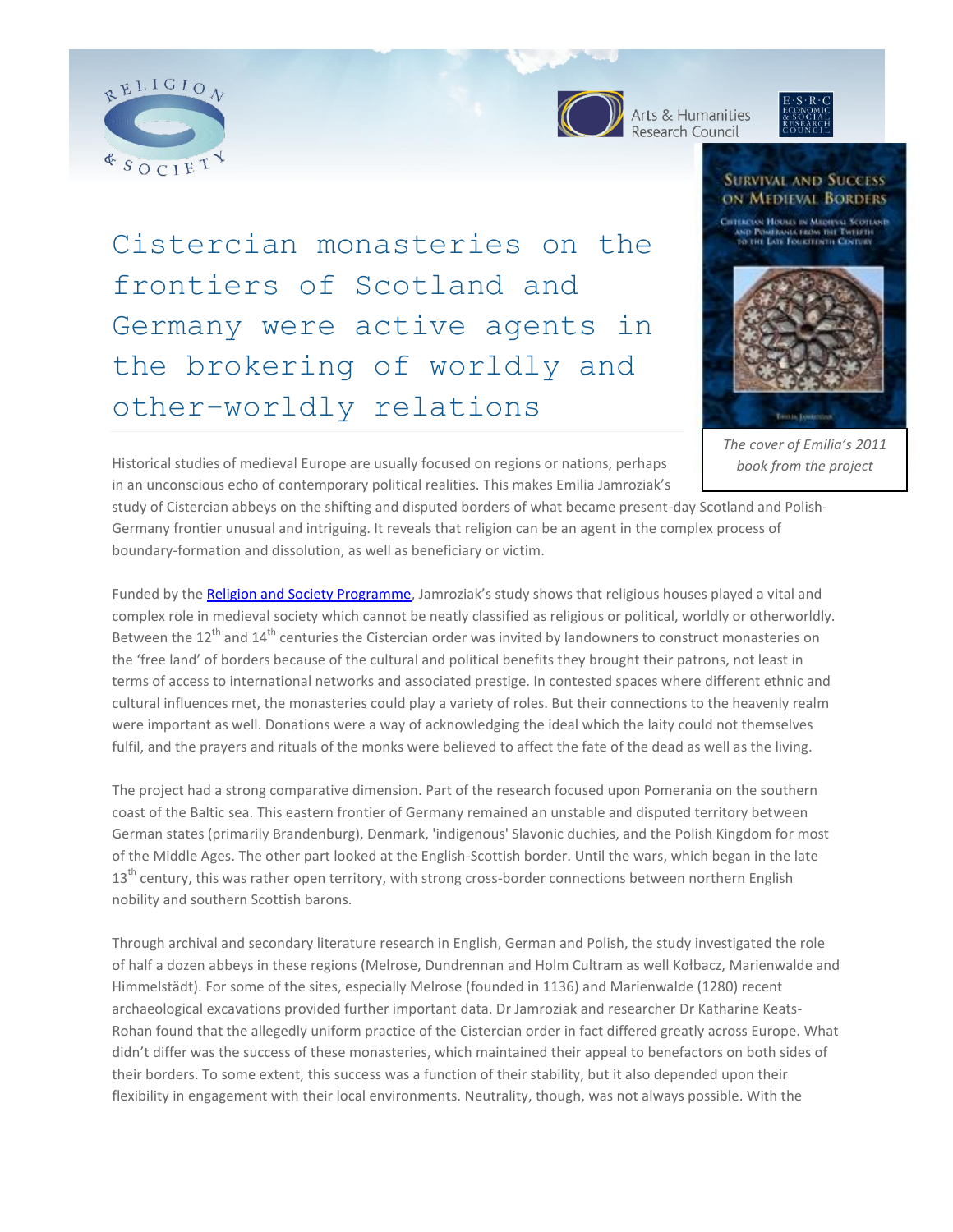



**OD** Arts & Humanities

## **SURVIVAL AND SUCCESS ON MEDIEVAL BORDERS**

Cistercian monasteries on the frontiers of Scotland and Germany were active agents in the brokering of worldly and other-worldly relations



*The cover of Emilia's 2011 book from the project*

Historical studies of medieval Europe are usually focused on regions or nations, perhaps in an unconscious echo of contemporary political realities. This makes Emilia Jamroziak's

study of Cistercian abbeys on the shifting and disputed borders of what became present-day Scotland and Polish-Germany frontier unusual and intriguing. It reveals that religion can be an agent in the complex process of boundary-formation and dissolution, as well as beneficiary or victim.

Funded by th[e Religion and Society Programme](http://www.religionandsociety.org.uk/), Jamroziak's study shows that religious houses played a vital and complex role in medieval society which cannot be neatly classified as religious or political, worldly or otherworldly. Between the  $12^{th}$  and  $14^{th}$  centuries the Cistercian order was invited by landowners to construct monasteries on the 'free land' of borders because of the cultural and political benefits they brought their patrons, not least in terms of access to international networks and associated prestige. In contested spaces where different ethnic and cultural influences met, the monasteries could play a variety of roles. But their connections to the heavenly realm were important as well. Donations were a way of acknowledging the ideal which the laity could not themselves fulfil, and the prayers and rituals of the monks were believed to affect the fate of the dead as well as the living.

The project had a strong comparative dimension. Part of the research focused upon Pomerania on the southern coast of the Baltic sea. This eastern frontier of Germany remained an unstable and disputed territory between German states (primarily Brandenburg), Denmark, 'indigenous' Slavonic duchies, and the Polish Kingdom for most of the Middle Ages. The other part looked at the English-Scottish border. Until the wars, which began in the late  $13<sup>th</sup>$  century, this was rather open territory, with strong cross-border connections between northern English nobility and southern Scottish barons.

Through archival and secondary literature research in English, German and Polish, the study investigated the role of half a dozen abbeys in these regions (Melrose, Dundrennan and Holm Cultram as well Kołbacz, Marienwalde and Himmelstädt). For some of the sites, especially Melrose (founded in 1136) and Marienwalde (1280) recent archaeological excavations provided further important data. Dr Jamroziak and researcher Dr Katharine Keats-Rohan found that the allegedly uniform practice of the Cistercian order in fact differed greatly across Europe. What didn't differ was the success of these monasteries, which maintained their appeal to benefactors on both sides of their borders. To some extent, this success was a function of their stability, but it also depended upon their flexibility in engagement with their local environments. Neutrality, though, was not always possible. With the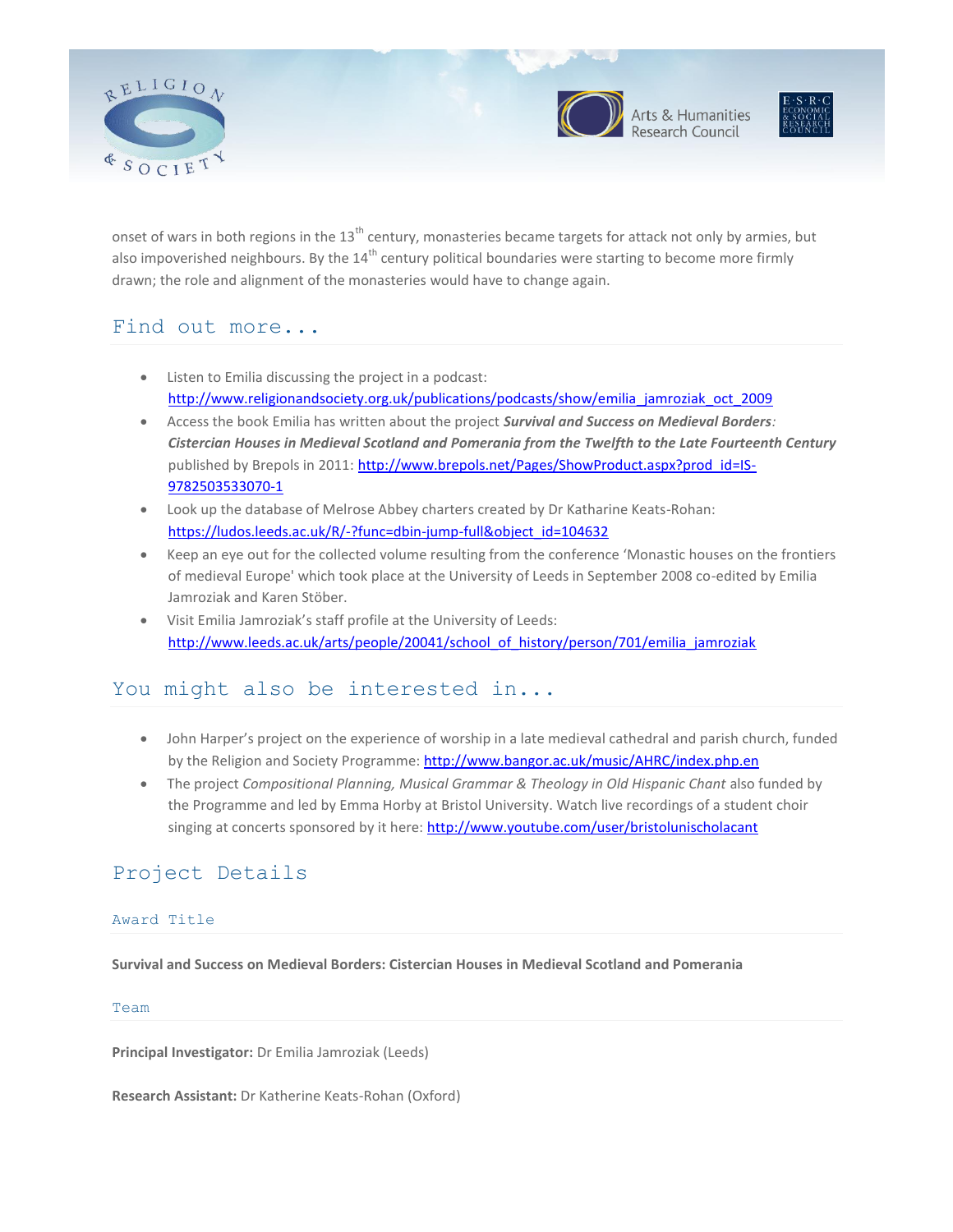



Arts & Humanities<br>Research Council



onset of wars in both regions in the  $13<sup>th</sup>$  century, monasteries became targets for attack not only by armies, but also impoverished neighbours. By the  $14<sup>th</sup>$  century political boundaries were starting to become more firmly drawn; the role and alignment of the monasteries would have to change again.

# Find out more...

- Listen to Emilia discussing the project in a podcast: [http://www.religionandsociety.org.uk/publications/podcasts/show/emilia\\_jamroziak\\_oct\\_2009](http://www.religionandsociety.org.uk/publications/podcasts/show/emilia_jamroziak_oct_2009)
- Access the book Emilia has written about the project *Survival and Success on Medieval Borders: Cistercian Houses in Medieval Scotland and Pomerania from the Twelfth to the Late Fourteenth Century* published by Brepols in 2011: [http://www.brepols.net/Pages/ShowProduct.aspx?prod\\_id=IS-](http://www.brepols.net/Pages/ShowProduct.aspx?prod_id=IS-9782503533070-1)[9782503533070-1](http://www.brepols.net/Pages/ShowProduct.aspx?prod_id=IS-9782503533070-1)
- Look up the database of Melrose Abbey charters created by Dr Katharine Keats-Rohan: [https://ludos.leeds.ac.uk/R/-?func=dbin-jump-full&object\\_id=104632](https://ludos.leeds.ac.uk/R/-?func=dbin-jump-full&object_id=104632)
- Keep an eye out for the collected volume resulting from the conference 'Monastic houses on the frontiers of medieval Europe' which took place at the University of Leeds in September 2008 co-edited by Emilia Jamroziak and Karen Stöber.
- Visit Emilia Jamroziak's staff profile at the University of Leeds: http://www.leeds.ac.uk/arts/people/20041/school\_of\_history/person/701/emilia\_jamroziak

# You might also be interested in...

- John Harper's project on the experience of worship in a late medieval cathedral and parish church, funded by the Religion and Society Programme[: http://www.bangor.ac.uk/music/AHRC/index.php.en](http://www.bangor.ac.uk/music/AHRC/index.php.en)
- The project *Compositional Planning, Musical Grammar & Theology in Old Hispanic Chant* also funded by the Programme and led by Emma Horby at Bristol University. Watch live recordings of a student choir singing at concerts sponsored by it here[: http://www.youtube.com/user/bristolunischolacant](http://www.youtube.com/user/bristolunischolacant)

# Project Details

## Award Title

**Survival and Success on Medieval Borders: Cistercian Houses in Medieval Scotland and Pomerania**

## Team

**Principal Investigator:** Dr Emilia Jamroziak (Leeds)

**Research Assistant:** Dr Katherine Keats-Rohan (Oxford)